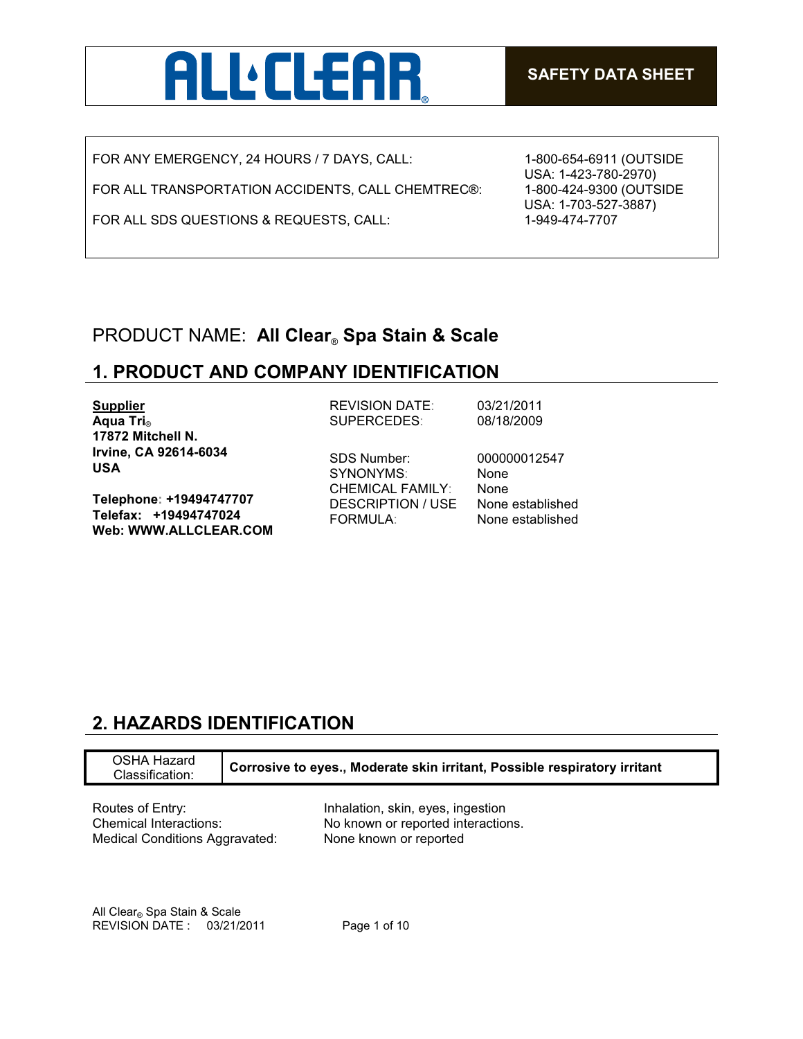

FOR ANY EMERGENCY, 24 HOURS / 7 DAYS, CALL:

FOR ALL TRANSPORTATION ACCIDENTS, CALL CHEMTREC®:

FOR ALL SDS QUESTIONS & REQUESTS, CALL:

1-800-654-6911 (OUTSIDE USA: 1-423-780-2970) 1-800-424-9300 (OUTSIDE USA: 1-703-527-3887) 1-949-474-7707

## PRODUCT NAME: **All Clear**® **Spa Stain & Scale**

## **1. PRODUCT AND COMPANY IDENTIFICATION**

| <b>Supplier</b>                                                           | <b>REVISION DATE:</b>                                      | 03/21/2011                           |
|---------------------------------------------------------------------------|------------------------------------------------------------|--------------------------------------|
| Aqua Tri <sub>®</sub>                                                     | <b>SUPERCEDES:</b>                                         | 08/18/2009                           |
| 17872 Mitchell N.                                                         |                                                            |                                      |
| Irvine, CA 92614-6034<br><b>USA</b>                                       | <b>SDS Number:</b><br>SYNONYMS:<br><b>CHEMICAL FAMILY:</b> | 000000012547<br>None<br><b>None</b>  |
| Telephone: +19494747707<br>Telefax: +19494747024<br>Web: WWW.ALLCLEAR.COM | <b>DESCRIPTION / USE</b><br><b>FORMULA:</b>                | None established<br>None established |
|                                                                           |                                                            |                                      |

# **2. HAZARDS IDENTIFICATION**

| <b>OSHA Hazard</b><br>Classification: | Corrosive to eyes., Moderate skin irritant, Possible respiratory irritant |
|---------------------------------------|---------------------------------------------------------------------------|
| Routes of Entry:                      | Inhalation, skin, eyes, ingestion                                         |
| Chemical Interactions:                | No known or reported interactions.                                        |
| Medical Conditions Aggravated:        | None known or reported                                                    |

All Clear® Spa Stain & Scale REVISION DATE : 03/21/2011 Page 1 of 10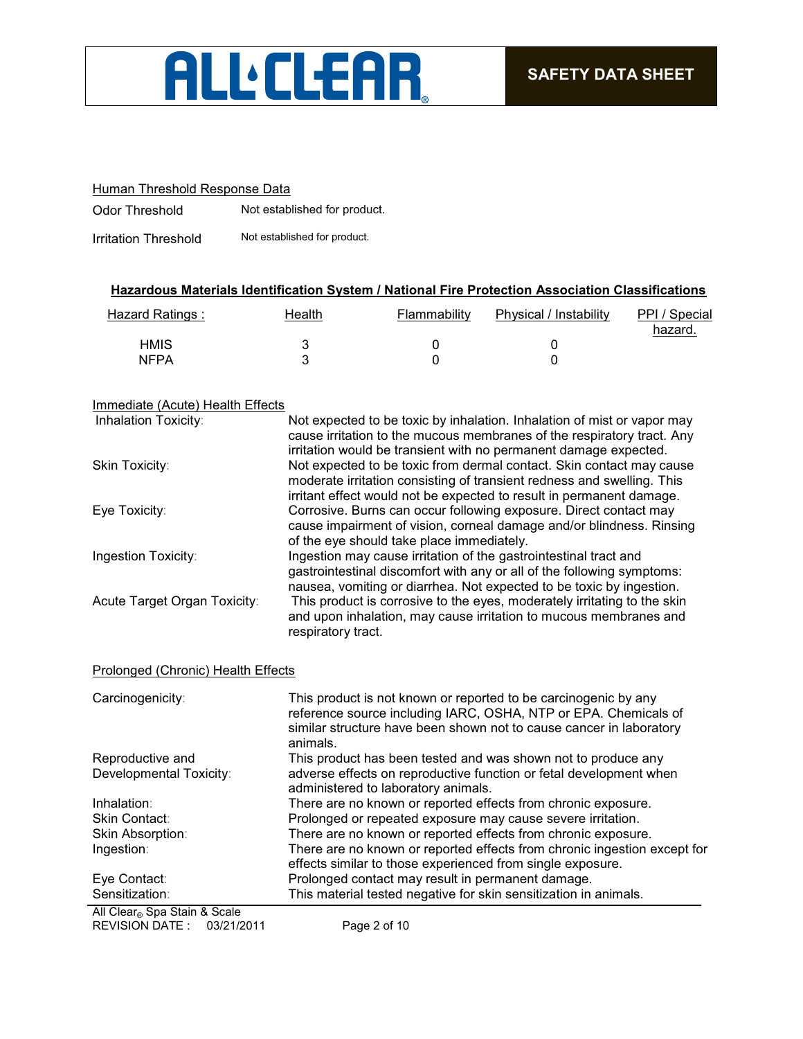

### Human Threshold Response Data

Odor Threshold Not established for product.

Irritation Threshold Not established for product.

### **Hazardous Materials Identification System / National Fire Protection Association Classifications**

| Hazard Ratings: | Health | Flammability | Physical / Instability | PPI / Special<br>hazard. |
|-----------------|--------|--------------|------------------------|--------------------------|
| HMIS            |        |              |                        |                          |
| <b>NFPA</b>     |        |              |                        |                          |

#### Immediate (Acute) Health Effects

| Inhalation Toxicity:         | Not expected to be toxic by inhalation. Inhalation of mist or vapor may<br>cause irritation to the mucous membranes of the respiratory tract. Any<br>irritation would be transient with no permanent damage expected.  |
|------------------------------|------------------------------------------------------------------------------------------------------------------------------------------------------------------------------------------------------------------------|
| Skin Toxicity:               | Not expected to be toxic from dermal contact. Skin contact may cause<br>moderate irritation consisting of transient redness and swelling. This<br>irritant effect would not be expected to result in permanent damage. |
| Eye Toxicity:                | Corrosive. Burns can occur following exposure. Direct contact may<br>cause impairment of vision, corneal damage and/or blindness. Rinsing<br>of the eye should take place immediately.                                 |
| Ingestion Toxicity:          | Ingestion may cause irritation of the gastrointestinal tract and<br>gastrointestinal discomfort with any or all of the following symptoms:<br>nausea, vomiting or diarrhea. Not expected to be toxic by ingestion.     |
| Acute Target Organ Toxicity: | This product is corrosive to the eyes, moderately irritating to the skin<br>and upon inhalation, may cause irritation to mucous membranes and<br>respiratory tract.                                                    |

### Prolonged (Chronic) Health Effects

| Carcinogenicity:              | This product is not known or reported to be carcinogenic by any<br>reference source including IARC, OSHA, NTP or EPA. Chemicals of<br>similar structure have been shown not to cause cancer in laboratory<br>animals. |
|-------------------------------|-----------------------------------------------------------------------------------------------------------------------------------------------------------------------------------------------------------------------|
| Reproductive and              | This product has been tested and was shown not to produce any                                                                                                                                                         |
| Developmental Toxicity:       | adverse effects on reproductive function or fetal development when<br>administered to laboratory animals.                                                                                                             |
| Inhalation:                   | There are no known or reported effects from chronic exposure.                                                                                                                                                         |
| Skin Contact:                 | Prolonged or repeated exposure may cause severe irritation.                                                                                                                                                           |
| Skin Absorption:              | There are no known or reported effects from chronic exposure.                                                                                                                                                         |
| Ingestion:                    | There are no known or reported effects from chronic ingestion except for<br>effects similar to those experienced from single exposure.                                                                                |
| Eye Contact:                  | Prolonged contact may result in permanent damage.                                                                                                                                                                     |
| Sensitization:                | This material tested negative for skin sensitization in animals.                                                                                                                                                      |
| All Class, Cas Chain & Castal |                                                                                                                                                                                                                       |

REVISION DATE : 03/21/2011 Page 2 of 10 All Clear® Spa Stain & Scale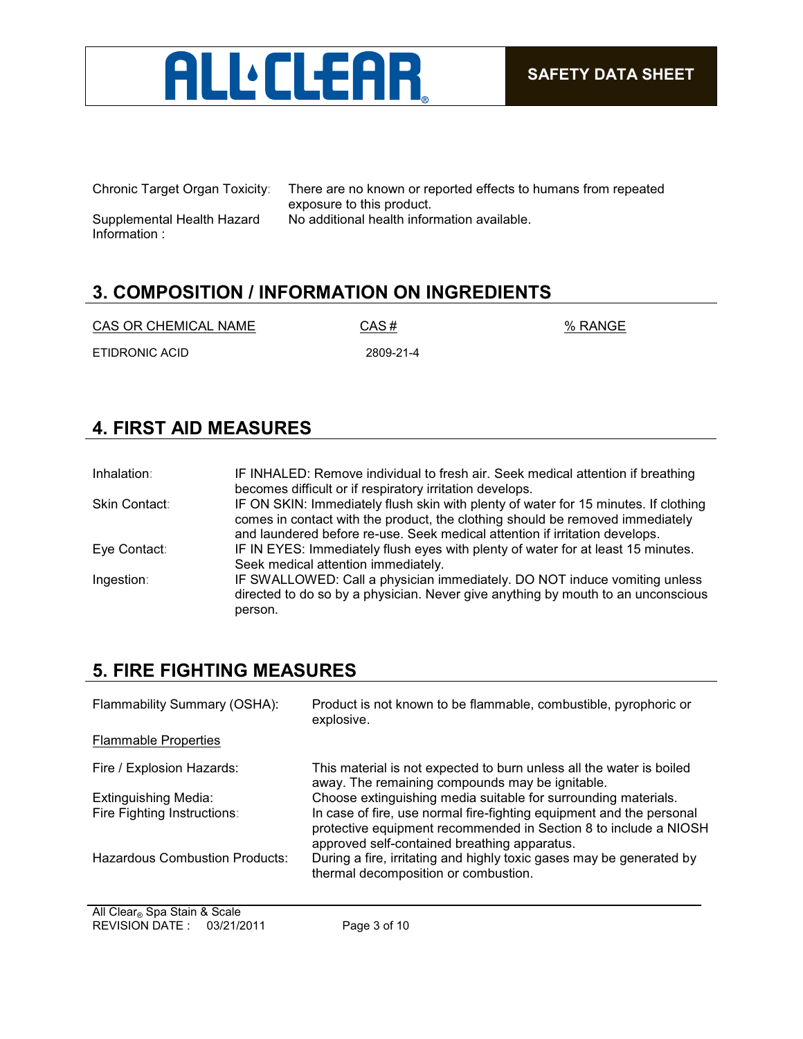

Supplemental Health Hazard Information :

Chronic Target Organ Toxicity: There are no known or reported effects to humans from repeated exposure to this product. No additional health information available.

# **3. COMPOSITION / INFORMATION ON INGREDIENTS**

| CAS OR CHEMICAL NAME | CAS#      | % RANGE |
|----------------------|-----------|---------|
| ETIDRONIC ACID       | 2809-21-4 |         |

# **4. FIRST AID MEASURES**

| Inhalation:   | IF INHALED: Remove individual to fresh air. Seek medical attention if breathing<br>becomes difficult or if respiratory irritation develops.                                                                                                         |
|---------------|-----------------------------------------------------------------------------------------------------------------------------------------------------------------------------------------------------------------------------------------------------|
| Skin Contact: | IF ON SKIN: Immediately flush skin with plenty of water for 15 minutes. If clothing<br>comes in contact with the product, the clothing should be removed immediately<br>and laundered before re-use. Seek medical attention if irritation develops. |
| Eye Contact:  | IF IN EYES: Immediately flush eyes with plenty of water for at least 15 minutes.<br>Seek medical attention immediately.                                                                                                                             |
| Ingestion:    | IF SWALLOWED: Call a physician immediately. DO NOT induce vomiting unless<br>directed to do so by a physician. Never give anything by mouth to an unconscious<br>person.                                                                            |

# **5. FIRE FIGHTING MEASURES**

| Flammability Summary (OSHA):                               | Product is not known to be flammable, combustible, pyrophoric or<br>explosive.                                                                                                                                                                             |
|------------------------------------------------------------|------------------------------------------------------------------------------------------------------------------------------------------------------------------------------------------------------------------------------------------------------------|
| <b>Flammable Properties</b>                                |                                                                                                                                                                                                                                                            |
| Fire / Explosion Hazards:                                  | This material is not expected to burn unless all the water is boiled<br>away. The remaining compounds may be ignitable.                                                                                                                                    |
| <b>Extinguishing Media:</b><br>Fire Fighting Instructions: | Choose extinguishing media suitable for surrounding materials.<br>In case of fire, use normal fire-fighting equipment and the personal<br>protective equipment recommended in Section 8 to include a NIOSH<br>approved self-contained breathing apparatus. |
| Hazardous Combustion Products:                             | During a fire, irritating and highly toxic gases may be generated by<br>thermal decomposition or combustion.                                                                                                                                               |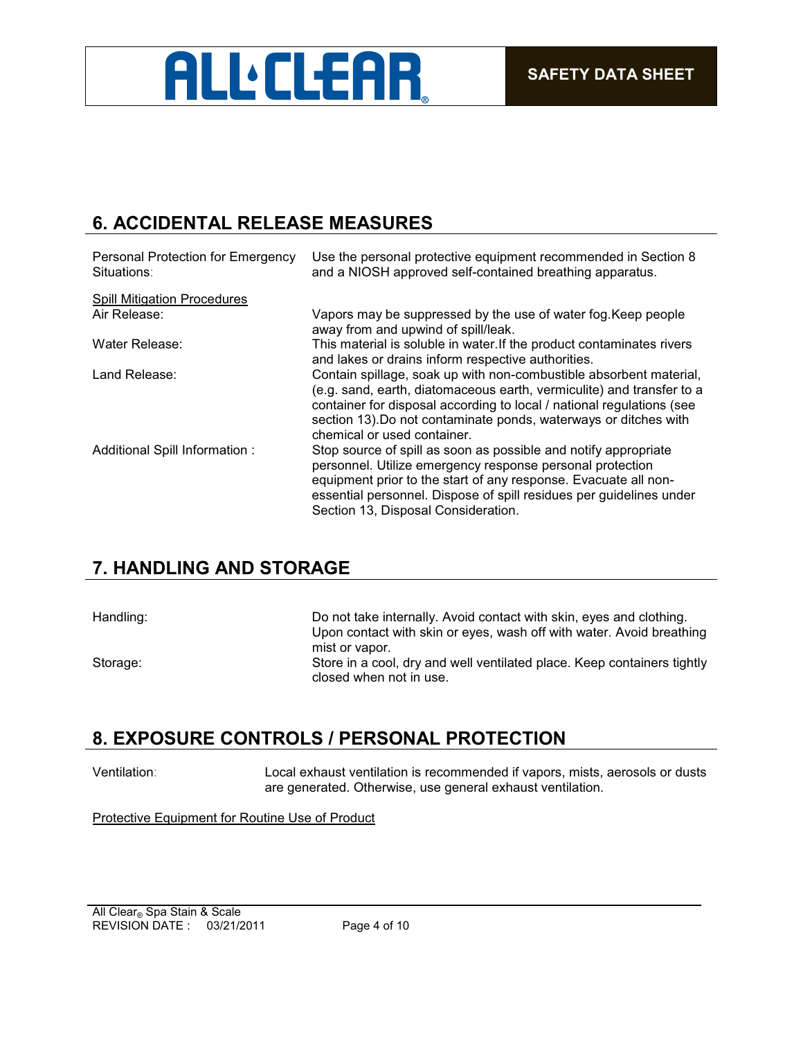

## **6. ACCIDENTAL RELEASE MEASURES**

| Personal Protection for Emergency<br>Situations: | Use the personal protective equipment recommended in Section 8<br>and a NIOSH approved self-contained breathing apparatus.                                                                                                                                                                                              |
|--------------------------------------------------|-------------------------------------------------------------------------------------------------------------------------------------------------------------------------------------------------------------------------------------------------------------------------------------------------------------------------|
| <b>Spill Mitigation Procedures</b>               |                                                                                                                                                                                                                                                                                                                         |
| Air Release:                                     | Vapors may be suppressed by the use of water fog. Keep people<br>away from and upwind of spill/leak.                                                                                                                                                                                                                    |
| Water Release:                                   | This material is soluble in water. If the product contaminates rivers<br>and lakes or drains inform respective authorities.                                                                                                                                                                                             |
| Land Release:                                    | Contain spillage, soak up with non-combustible absorbent material,<br>(e.g. sand, earth, diatomaceous earth, vermiculite) and transfer to a<br>container for disposal according to local / national regulations (see<br>section 13). Do not contaminate ponds, waterways or ditches with<br>chemical or used container. |
| Additional Spill Information :                   | Stop source of spill as soon as possible and notify appropriate<br>personnel. Utilize emergency response personal protection<br>equipment prior to the start of any response. Evacuate all non-<br>essential personnel. Dispose of spill residues per guidelines under<br>Section 13, Disposal Consideration.           |

## **7. HANDLING AND STORAGE**

| Handling: | Do not take internally. Avoid contact with skin, eyes and clothing.                                |
|-----------|----------------------------------------------------------------------------------------------------|
|           | Upon contact with skin or eyes, wash off with water. Avoid breathing                               |
|           | mist or vapor.                                                                                     |
| Storage:  | Store in a cool, dry and well ventilated place. Keep containers tightly<br>closed when not in use. |
|           |                                                                                                    |

## **8. EXPOSURE CONTROLS / PERSONAL PROTECTION**

Ventilation: Local exhaust ventilation is recommended if vapors, mists, aerosols or dusts are generated. Otherwise, use general exhaust ventilation.

Protective Equipment for Routine Use of Product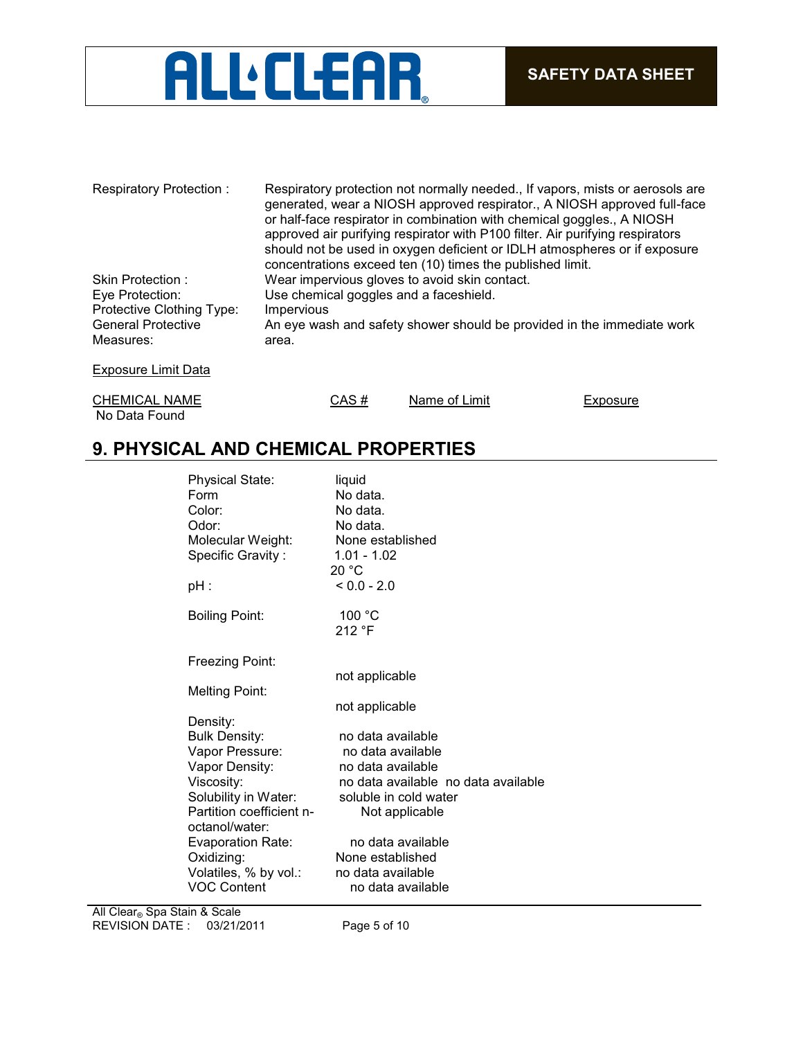

| Respiratory Protection:   | Respiratory protection not normally needed., If vapors, mists or aerosols are<br>generated, wear a NIOSH approved respirator., A NIOSH approved full-face<br>or half-face respirator in combination with chemical goggles., A NIOSH<br>approved air purifying respirator with P100 filter. Air purifying respirators<br>should not be used in oxygen deficient or IDLH atmospheres or if exposure<br>concentrations exceed ten (10) times the published limit. |
|---------------------------|----------------------------------------------------------------------------------------------------------------------------------------------------------------------------------------------------------------------------------------------------------------------------------------------------------------------------------------------------------------------------------------------------------------------------------------------------------------|
| Skin Protection:          | Wear impervious gloves to avoid skin contact.                                                                                                                                                                                                                                                                                                                                                                                                                  |
| Eye Protection:           | Use chemical goggles and a faceshield.                                                                                                                                                                                                                                                                                                                                                                                                                         |
| Protective Clothing Type: | Impervious                                                                                                                                                                                                                                                                                                                                                                                                                                                     |
| <b>General Protective</b> | An eye wash and safety shower should be provided in the immediate work                                                                                                                                                                                                                                                                                                                                                                                         |
| Measures:                 | area.                                                                                                                                                                                                                                                                                                                                                                                                                                                          |
|                           |                                                                                                                                                                                                                                                                                                                                                                                                                                                                |

Exposure Limit Data

CHEMICAL NAME CAS # Name of Limit Exposure No Data Found

## **9. PHYSICAL AND CHEMICAL PROPERTIES**

| <b>Physical State:</b><br>Form<br>Color:<br>Odor:<br>Molecular Weight:<br>Specific Gravity:<br>pH : | liguid<br>No data.<br>No data.<br>No data.<br>None established<br>$1.01 - 1.02$<br>20 °C<br>$< 0.0 - 2.0$ |
|-----------------------------------------------------------------------------------------------------|-----------------------------------------------------------------------------------------------------------|
| <b>Boiling Point:</b>                                                                               | 100 °C<br>212 °F                                                                                          |
| Freezing Point:                                                                                     |                                                                                                           |
| Melting Point:                                                                                      | not applicable                                                                                            |
|                                                                                                     | not applicable                                                                                            |
| Density:<br><b>Bulk Density:</b>                                                                    | no data available                                                                                         |
| Vapor Pressure:                                                                                     | no data available                                                                                         |
| Vapor Density:                                                                                      | no data available                                                                                         |
| Viscosity:                                                                                          | no data available no data available                                                                       |
| Solubility in Water:<br>Partition coefficient n-                                                    | soluble in cold water<br>Not applicable                                                                   |
| octanol/water:                                                                                      |                                                                                                           |
| <b>Evaporation Rate:</b>                                                                            | no data available                                                                                         |
| Oxidizing:                                                                                          | None established                                                                                          |
| Volatiles, % by vol.:<br>VOC Content                                                                | no data available<br>no data available                                                                    |
|                                                                                                     |                                                                                                           |

REVISION DATE : 03/21/2011 Page 5 of 10 All Clear<sub>®</sub> Spa Stain & Scale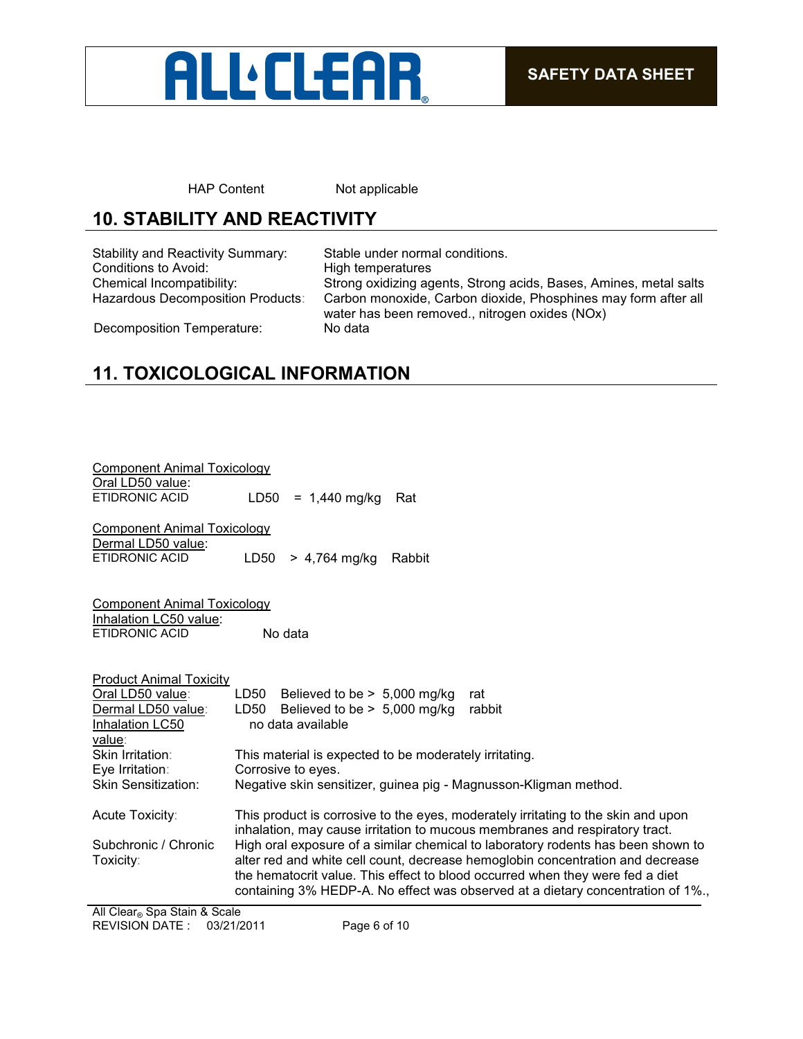

HAP Content Not applicable

# **10. STABILITY AND REACTIVITY**

Stability and Reactivity Summary: Stable under normal conditions. Conditions to Avoid: High temperatures

Chemical Incompatibility: Strong oxidizing agents, Strong acids, Bases, Amines, metal salts Carbon monoxide, Carbon dioxide, Phosphines may form after all water has been removed., nitrogen oxides (NOx)

Decomposition Temperature: No data

# **11. TOXICOLOGICAL INFORMATION**

| <b>Component Animal Toxicology</b><br>Oral LD50 value:<br><b>ETIDRONIC ACID</b>                                           | LD50<br>$= 1,440$ mg/kg<br>Rat                                                                                                                                                                                                                                                                                                                                                                                                                                                                             |
|---------------------------------------------------------------------------------------------------------------------------|------------------------------------------------------------------------------------------------------------------------------------------------------------------------------------------------------------------------------------------------------------------------------------------------------------------------------------------------------------------------------------------------------------------------------------------------------------------------------------------------------------|
| <b>Component Animal Toxicology</b><br>Dermal LD50 value:<br><b>ETIDRONIC ACID</b>                                         | LD50<br>$> 4,764$ mg/kg<br>Rabbit                                                                                                                                                                                                                                                                                                                                                                                                                                                                          |
| <b>Component Animal Toxicology</b><br>Inhalation LC50 value:<br><b>ETIDRONIC ACID</b>                                     | No data                                                                                                                                                                                                                                                                                                                                                                                                                                                                                                    |
| <b>Product Animal Toxicity</b><br>Oral LD50 value:<br>Dermal LD50 value:<br>Inhalation LC50<br>value:<br>Skin Irritation: | LD50 Believed to be $> 5,000$ mg/kg<br>rat<br>LD50<br>Believed to be $> 5,000$ mg/kg<br>rabbit<br>no data available<br>This material is expected to be moderately irritating.                                                                                                                                                                                                                                                                                                                              |
| Eye Irritation:<br><b>Skin Sensitization:</b>                                                                             | Corrosive to eyes.<br>Negative skin sensitizer, guinea pig - Magnusson-Kligman method.                                                                                                                                                                                                                                                                                                                                                                                                                     |
| Acute Toxicity:<br>Subchronic / Chronic<br>Toxicity:                                                                      | This product is corrosive to the eyes, moderately irritating to the skin and upon<br>inhalation, may cause irritation to mucous membranes and respiratory tract.<br>High oral exposure of a similar chemical to laboratory rodents has been shown to<br>alter red and white cell count, decrease hemoglobin concentration and decrease<br>the hematocrit value. This effect to blood occurred when they were fed a diet<br>containing 3% HEDP-A. No effect was observed at a dietary concentration of 1%., |
| All Clear® Spa Stain & Scale                                                                                              |                                                                                                                                                                                                                                                                                                                                                                                                                                                                                                            |

REVISION DATE : 03/21/2011 Page 6 of 10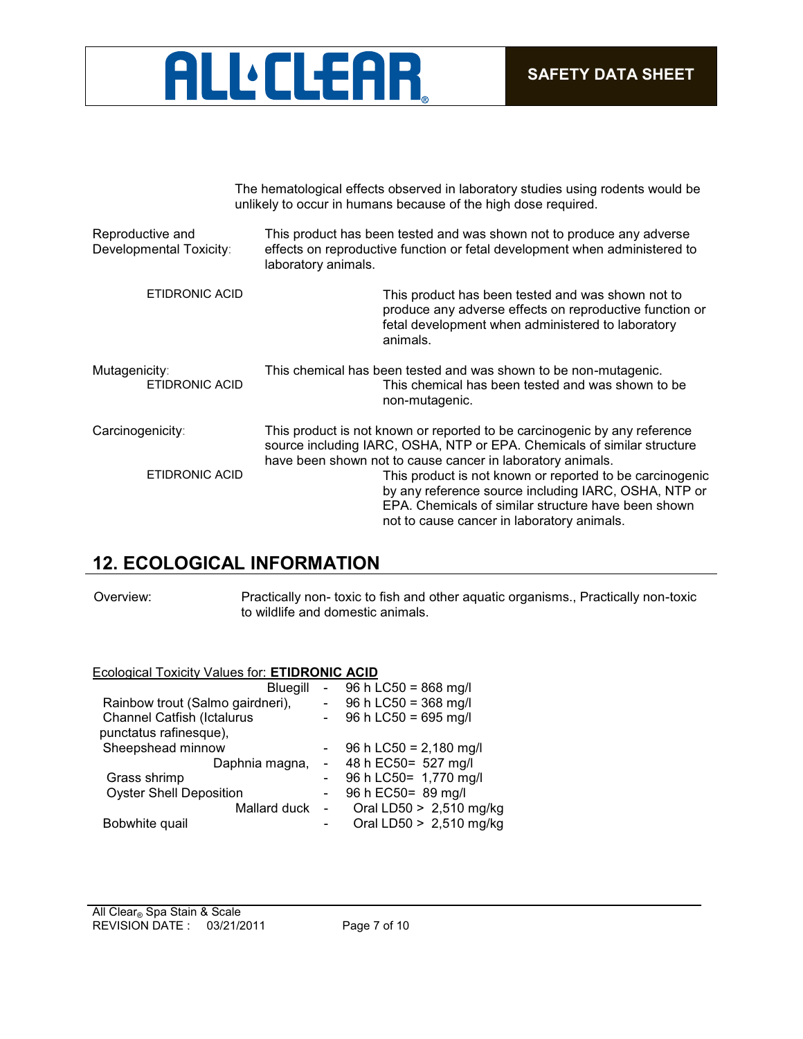

|                                             | The hematological effects observed in laboratory studies using rodents would be<br>unlikely to occur in humans because of the high dose required.                                                                                                                                                                                                                                                                                           |
|---------------------------------------------|---------------------------------------------------------------------------------------------------------------------------------------------------------------------------------------------------------------------------------------------------------------------------------------------------------------------------------------------------------------------------------------------------------------------------------------------|
| Reproductive and<br>Developmental Toxicity: | This product has been tested and was shown not to produce any adverse<br>effects on reproductive function or fetal development when administered to<br>laboratory animals.                                                                                                                                                                                                                                                                  |
| <b>ETIDRONIC ACID</b>                       | This product has been tested and was shown not to<br>produce any adverse effects on reproductive function or<br>fetal development when administered to laboratory<br>animals.                                                                                                                                                                                                                                                               |
| Mutagenicity:<br><b>ETIDRONIC ACID</b>      | This chemical has been tested and was shown to be non-mutagenic.<br>This chemical has been tested and was shown to be<br>non-mutagenic.                                                                                                                                                                                                                                                                                                     |
| Carcinogenicity:<br>ETIDRONIC ACID          | This product is not known or reported to be carcinogenic by any reference<br>source including IARC, OSHA, NTP or EPA. Chemicals of similar structure<br>have been shown not to cause cancer in laboratory animals.<br>This product is not known or reported to be carcinogenic<br>by any reference source including IARC, OSHA, NTP or<br>EPA. Chemicals of similar structure have been shown<br>not to cause cancer in laboratory animals. |

## **12. ECOLOGICAL INFORMATION**

Overview: Practically non- toxic to fish and other aquatic organisms., Practically non-toxic to wildlife and domestic animals.

#### Ecological Toxicity Values for: **ETIDRONIC ACID**

| <b>Bluegill</b>                   |        | 96 h LC50 = 868 mg/l     |
|-----------------------------------|--------|--------------------------|
| Rainbow trout (Salmo gairdneri),  |        | 96 h LC50 = 368 mg/l     |
| <b>Channel Catfish (Ictalurus</b> |        | 96 h LC50 = 695 mg/l     |
| punctatus rafinesque),            |        |                          |
| Sheepshead minnow                 |        | 96 h LC50 = $2,180$ mg/l |
| Daphnia magna,                    |        | 48 h EC50= 527 mg/l      |
| Grass shrimp                      |        | 96 h LC50= 1,770 mg/l    |
| <b>Oyster Shell Deposition</b>    |        | 96 h EC50 = 89 mg/l      |
| Mallard duck                      | $\sim$ | Oral LD50 > 2,510 mg/kg  |
| Bobwhite quail                    |        | Oral LD50 > 2,510 mg/kg  |
|                                   |        |                          |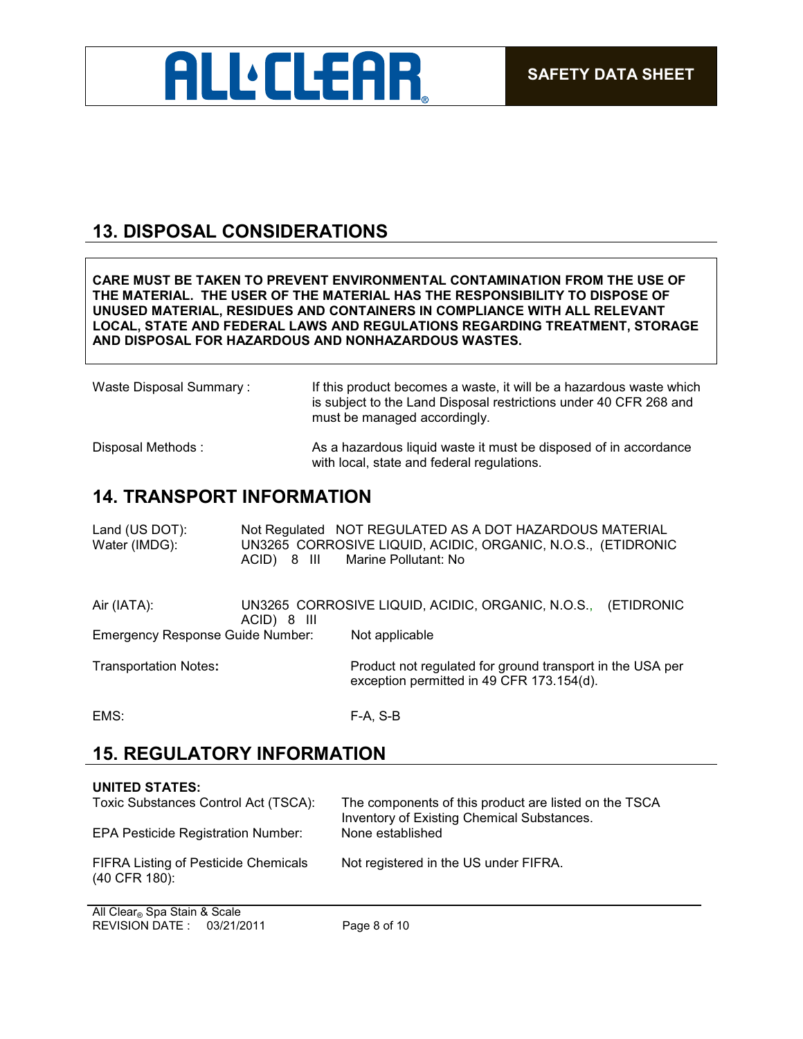

## **13. DISPOSAL CONSIDERATIONS**

**CARE MUST BE TAKEN TO PREVENT ENVIRONMENTAL CONTAMINATION FROM THE USE OF THE MATERIAL. THE USER OF THE MATERIAL HAS THE RESPONSIBILITY TO DISPOSE OF UNUSED MATERIAL, RESIDUES AND CONTAINERS IN COMPLIANCE WITH ALL RELEVANT LOCAL, STATE AND FEDERAL LAWS AND REGULATIONS REGARDING TREATMENT, STORAGE AND DISPOSAL FOR HAZARDOUS AND NONHAZARDOUS WASTES.** 

| Waste Disposal Summary: | If this product becomes a waste, it will be a hazardous waste which<br>is subject to the Land Disposal restrictions under 40 CFR 268 and<br>must be managed accordingly. |
|-------------------------|--------------------------------------------------------------------------------------------------------------------------------------------------------------------------|
| Disposal Methods:       | As a hazardous liquid waste it must be disposed of in accordance<br>with local, state and federal regulations.                                                           |

## **14. TRANSPORT INFORMATION**

| Land (US DOT): | Not Regulated NOT REGULATED AS A DOT HAZARDOUS MATERIAL      |
|----------------|--------------------------------------------------------------|
| Water (IMDG):  | UN3265 CORROSIVE LIQUID, ACIDIC, ORGANIC, N.O.S., (ETIDRONIC |
|                | ACID) 8 III<br>Marine Pollutant: No                          |
|                |                                                              |

| Air (IATA):                      | ACID) 8 III | UN3265 CORROSIVE LIQUID, ACIDIC, ORGANIC, N.O.S., (ETIDRONIC                                           |  |
|----------------------------------|-------------|--------------------------------------------------------------------------------------------------------|--|
| Emergency Response Guide Number: |             | Not applicable                                                                                         |  |
| <b>Transportation Notes:</b>     |             | Product not regulated for ground transport in the USA per<br>exception permitted in 49 CFR 173.154(d). |  |

EMS: F-A, S-B

## **15. REGULATORY INFORMATION**

| <b>UNITED STATES:</b>                                        |                                                                                                     |
|--------------------------------------------------------------|-----------------------------------------------------------------------------------------------------|
| Toxic Substances Control Act (TSCA):                         | The components of this product are listed on the TSCA<br>Inventory of Existing Chemical Substances. |
| <b>EPA Pesticide Registration Number:</b>                    | None established                                                                                    |
| <b>FIFRA Listing of Pesticide Chemicals</b><br>(40 CFR 180): | Not registered in the US under FIFRA.                                                               |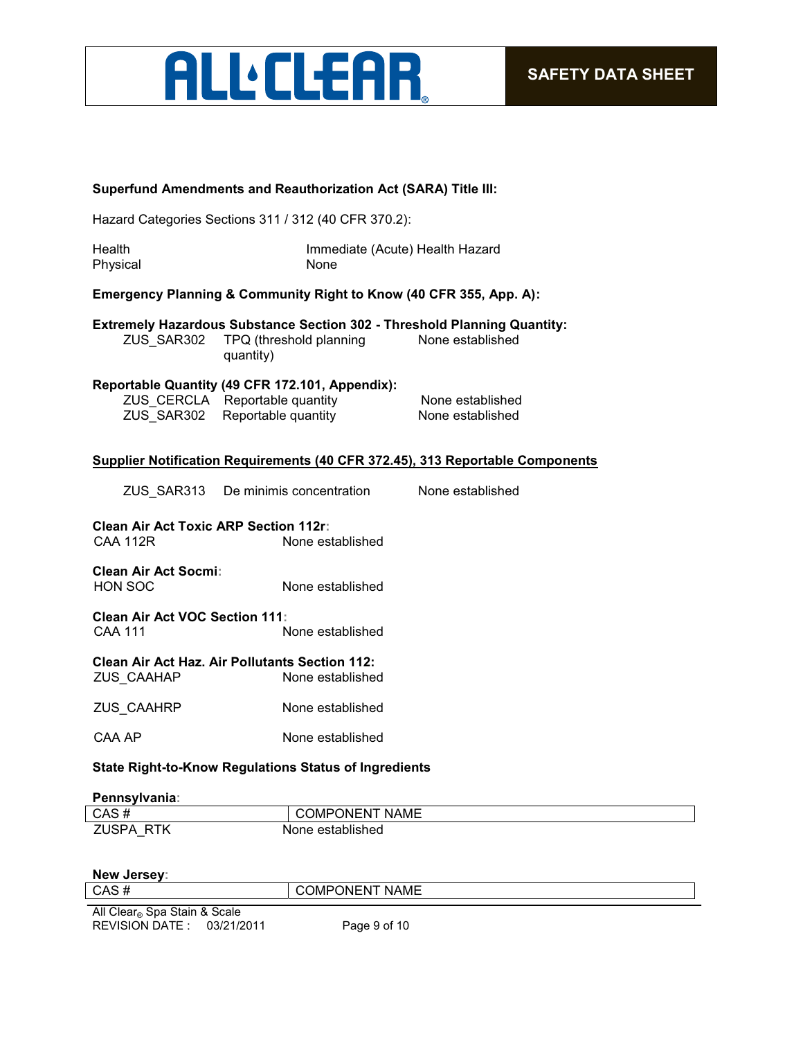

#### **Superfund Amendments and Reauthorization Act (SARA) Title III:**

Hazard Categories Sections 311 / 312 (40 CFR 370.2):

| Health   | Immediate (Acute) Health Hazard |
|----------|---------------------------------|
| Physical | None                            |

#### **Emergency Planning & Community Right to Know (40 CFR 355, App. A):**

**Extremely Hazardous Substance Section 302 - Threshold Planning Quantity:** ZUS\_SAR302 TPQ (threshold planning quantity) None established

#### **Reportable Quantity (49 CFR 172.101, Appendix):**

| ZUS_CERCLA Reportable quantity | None established |
|--------------------------------|------------------|
| ZUS_SAR302 Reportable quantity | None established |

#### **Supplier Notification Requirements (40 CFR 372.45), 313 Reportable Components**

ZUS\_SAR313 De minimis concentration None established

**Clean Air Act Toxic ARP Section 112r:** None established

**Clean Air Act Socmi:** None established

**Clean Air Act VOC Section 111:** CAA 111 None established

**Clean Air Act Haz. Air Pollutants Section 112:** ZUS\_CAAHAP None established

ZUS\_CAAHRP None established

CAA AP None established

#### **State Right-to-Know Regulations Status of Ingredients**

**Pennsylvania:**

| CAS#                       | <b>COMPONENT NAME</b> |
|----------------------------|-----------------------|
| <b>ZUSPA</b><br><b>RTK</b> | None established      |

#### **New Jersey:**

| CAS                          | <b>NAME</b><br>١М<br>)N⊢N |
|------------------------------|---------------------------|
|                              |                           |
| All Clears Sna Stain & Scale |                           |

REVISION DATE : 03/21/2011 Page 9 of 10 All Clear® Spa Stain & Scale